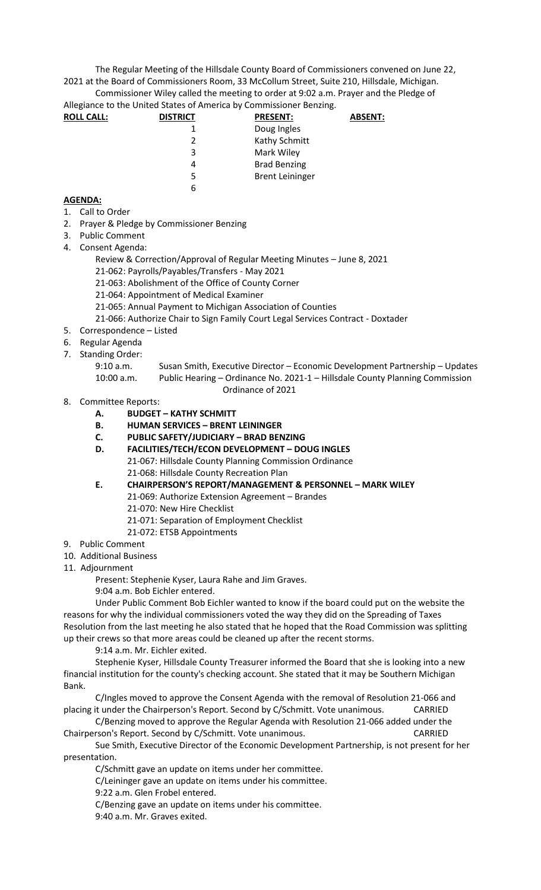The Regular Meeting of the Hillsdale County Board of Commissioners convened on June 22, 2021 at the Board of Commissioners Room, 33 McCollum Street, Suite 210, Hillsdale, Michigan. Commissioner Wiley called the meeting to order at 9:02 a.m. Prayer and the Pledge of

Allegiance to the United States of America by Commissioner Benzing.

| <b>ROLL CALL:</b> | <b>DISTRICT</b> | <b>PRESENT:</b>        | <b>ABSENT:</b> |
|-------------------|-----------------|------------------------|----------------|
|                   |                 | Doug Ingles            |                |
|                   | $\mathfrak{p}$  | Kathy Schmitt          |                |
|                   | 3               | Mark Wiley             |                |
|                   | 4               | <b>Brad Benzing</b>    |                |
|                   | 5               | <b>Brent Leininger</b> |                |
|                   | 6               |                        |                |
|                   |                 |                        |                |

## **AGENDA:**

- 1. Call to Order
- 2. Prayer & Pledge by Commissioner Benzing
- 3. Public Comment
- 4. Consent Agenda:
	- Review & Correction/Approval of Regular Meeting Minutes June 8, 2021
	- 21-062: Payrolls/Payables/Transfers May 2021
	- 21-063: Abolishment of the Office of County Corner
	- 21-064: Appointment of Medical Examiner
	- 21-065: Annual Payment to Michigan Association of Counties
	- 21-066: Authorize Chair to Sign Family Court Legal Services Contract Doxtader
- 5. Correspondence Listed
- 6. Regular Agenda
- 7. Standing Order:
	- 9:10 a.m. Susan Smith, Executive Director Economic Development Partnership Updates 10:00 a.m. Public Hearing – Ordinance No. 2021-1 – Hillsdale County Planning Commission

Ordinance of 2021

- 8. Committee Reports:
	- **A. BUDGET – KATHY SCHMITT**
	- **B. HUMAN SERVICES – BRENT LEININGER**
	- **C. PUBLIC SAFETY/JUDICIARY – BRAD BENZING**
	- **D. FACILITIES/TECH/ECON DEVELOPMENT – DOUG INGLES** 21-067: Hillsdale County Planning Commission Ordinance 21-068: Hillsdale County Recreation Plan
	- **E. CHAIRPERSON'S REPORT/MANAGEMENT & PERSONNEL – MARK WILEY** 21-069: Authorize Extension Agreement – Brandes
		- 21-070: New Hire Checklist
		- 21-071: Separation of Employment Checklist
		- 21-072: ETSB Appointments
- 9. Public Comment
- 10. Additional Business
- 11. Adjournment

Present: Stephenie Kyser, Laura Rahe and Jim Graves.

9:04 a.m. Bob Eichler entered.

Under Public Comment Bob Eichler wanted to know if the board could put on the website the reasons for why the individual commissioners voted the way they did on the Spreading of Taxes Resolution from the last meeting he also stated that he hoped that the Road Commission was splitting up their crews so that more areas could be cleaned up after the recent storms.

9:14 a.m. Mr. Eichler exited.

Stephenie Kyser, Hillsdale County Treasurer informed the Board that she is looking into a new financial institution for the county's checking account. She stated that it may be Southern Michigan Bank.

C/Ingles moved to approve the Consent Agenda with the removal of Resolution 21-066 and placing it under the Chairperson's Report. Second by C/Schmitt. Vote unanimous. CARRIED

C/Benzing moved to approve the Regular Agenda with Resolution 21-066 added under the Chairperson's Report. Second by C/Schmitt. Vote unanimous. CARRIED

Sue Smith, Executive Director of the Economic Development Partnership, is not present for her presentation.

C/Schmitt gave an update on items under her committee.

C/Leininger gave an update on items under his committee.

9:22 a.m. Glen Frobel entered.

C/Benzing gave an update on items under his committee.

9:40 a.m. Mr. Graves exited.